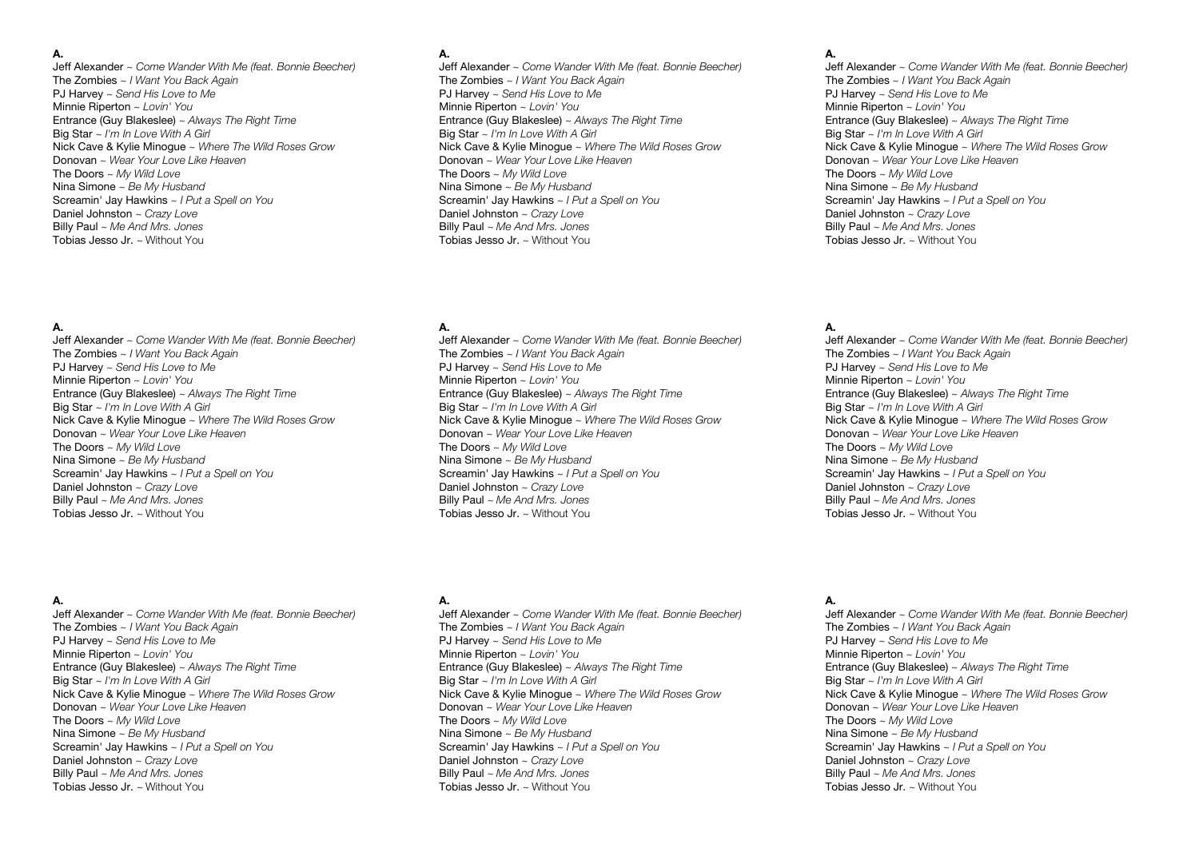### **A.**

Jeff Alexander ~ *Come Wander With Me (feat. Bonnie Beecher)* The Zombies ~ *I Want You Back Again* PJ Harvey ~ *Send His Love to Me* Minnie Riperton ~ *Lovin' You* Entrance (Guy Blakeslee) ~ *Always The Right Time* Big Star ~ *I'm In Love With A Girl* Nick Cave & Kylie Minogue ~ *Where The Wild Roses Grow* Donovan ~ *Wear Your Love Like Heaven* The Doors ~ *My Wild Love* Nina Simone ~ *Be My Husband* Screamin' Jay Hawkins ~ *I Put a Spell on You* Daniel Johnston ~ *Crazy Love* Billy Paul ~ *Me And Mrs. Jones* Tobias Jesso Jr. ~ Without You

### **A.**

Jeff Alexander ~ *Come Wander With Me (feat. Bonnie Beecher)* The Zombies ~ *I Want You Back Again* PJ Harvey ~ *Send His Love to Me* Minnie Riperton ~ *Lovin' You* Entrance (Guy Blakeslee) ~ *Always The Right Time* Big Star ~ *I'm In Love With A Girl* Nick Cave & Kylie Minogue ~ *Where The Wild Roses Grow* Donovan ~ *Wear Your Love Like Heaven* The Doors ~ *My Wild Love* Nina Simone ~ *Be My Husband* Screamin' Jay Hawkins ~ *I Put a Spell on You* Daniel Johnston ~ *Crazy Love* Billy Paul ~ *Me And Mrs. Jones* Tobias Jesso Jr. ~ Without You

## **A.**

Jeff Alexander ~ *Come Wander With Me (feat. Bonnie Beecher)* The Zombies ~ *I Want You Back Again* PJ Harvey ~ *Send His Love to Me* Minnie Riperton ~ *Lovin' You* Entrance (Guy Blakeslee) ~ *Always The Right Time* Big Star ~ *I'm In Love With A Girl* Nick Cave & Kylie Minogue ~ *Where The Wild Roses Grow* Donovan ~ *Wear Your Love Like Heaven* The Doors ~ *My Wild Love* Nina Simone ~ *Be My Husband* Screamin' Jay Hawkins ~ *I Put a Spell on You* Daniel Johnston ~ *Crazy Love* Billy Paul ~ *Me And Mrs. Jones* Tobias Jesso Jr. ~ Without You

## **A.**

Jeff Alexander ~ *Come Wander With Me (feat. Bonnie Beecher)* The Zombies ~ *I Want You Back Again* PJ Harvey ~ *Send His Love to Me* Minnie Riperton ~ *Lovin' You* Entrance (Guy Blakeslee) ~ *Always The Right Time* Big Star ~ *I'm In Love With A Girl* Nick Cave & Kylie Minogue ~ *Where The Wild Roses Grow* Donovan ~ *Wear Your Love Like Heaven* The Doors ~ *My Wild Love* Nina Simone ~ *Be My Husband* Screamin' Jay Hawkins ~ *I Put a Spell on You* Daniel Johnston ~ *Crazy Love* Billy Paul ~ *Me And Mrs. Jones* Tobias Jesso Jr. ~ Without You

## **A.**

Jeff Alexander ~ *Come Wander With Me (feat. Bonnie Beecher)* The Zombies ~ *I Want You Back Again* PJ Harvey ~ *Send His Love to Me* Minnie Riperton ~ *Lovin' You* Entrance (Guy Blakeslee) ~ *Always The Right Time* Big Star ~ *I'm In Love With A Girl* Nick Cave & Kylie Minogue ~ *Where The Wild Roses Grow* Donovan ~ *Wear Your Love Like Heaven* The Doors ~ *My Wild Love* Nina Simone ~ *Be My Husband* Screamin' Jay Hawkins ~ *I Put a Spell on You* Daniel Johnston ~ *Crazy Love* Billy Paul ~ *Me And Mrs. Jones* Tobias Jesso Jr. ~ Without You

## **A.**

Jeff Alexander ~ *Come Wander With Me (feat. Bonnie Beecher)* The Zombies ~ *I Want You Back Again* PJ Harvey ~ *Send His Love to Me* Minnie Riperton ~ *Lovin' You* Entrance (Guy Blakeslee) ~ *Always The Right Time* Big Star ~ *I'm In Love With A Girl* Nick Cave & Kylie Minogue ~ *Where The Wild Roses Grow* Donovan ~ *Wear Your Love Like Heaven* The Doors ~ *My Wild Love* Nina Simone ~ *Be My Husband* Screamin' Jay Hawkins ~ *I Put a Spell on You* Daniel Johnston ~ *Crazy Love* Billy Paul ~ *Me And Mrs. Jones* Tobias Jesso Jr. ~ Without You

#### **A.**

Jeff Alexander ~ *Come Wander With Me (feat. Bonnie Beecher)* The Zombies ~ *I Want You Back Again* PJ Harvey ~ *Send His Love to Me* Minnie Riperton ~ *Lovin' You* Entrance (Guy Blakeslee) ~ *Always The Right Time* Big Star ~ *I'm In Love With A Girl* Nick Cave & Kylie Minogue ~ *Where The Wild Roses Grow* Donovan ~ *Wear Your Love Like Heaven* The Doors ~ *My Wild Love* Nina Simone ~ *Be My Husband* Screamin' Jay Hawkins ~ *I Put a Spell on You* Daniel Johnston ~ *Crazy Love* Billy Paul ~ *Me And Mrs. Jones* Tobias Jesso Jr. ~ Without You

## **A.**

Jeff Alexander ~ *Come Wander With Me (feat. Bonnie Beecher)* The Zombies ~ *I Want You Back Again* PJ Harvey ~ *Send His Love to Me* Minnie Riperton ~ *Lovin' You* Entrance (Guy Blakeslee) ~ *Always The Right Time* Big Star ~ *I'm In Love With A Girl* Nick Cave & Kylie Minogue ~ *Where The Wild Roses Grow* Donovan ~ *Wear Your Love Like Heaven* The Doors ~ *My Wild Love* Nina Simone ~ *Be My Husband* Screamin' Jay Hawkins ~ *I Put a Spell on You* Daniel Johnston ~ *Crazy Love* Billy Paul ~ *Me And Mrs. Jones* Tobias Jesso Jr. ~ Without You

# **A.**

Jeff Alexander ~ *Come Wander With Me (feat. Bonnie Beecher)* The Zombies ~ *I Want You Back Again* PJ Harvey ~ *Send His Love to Me* Minnie Riperton ~ *Lovin' You* Entrance (Guy Blakeslee) ~ *Always The Right Time* Big Star ~ *I'm In Love With A Girl* Nick Cave & Kylie Minogue ~ *Where The Wild Roses Grow* Donovan ~ *Wear Your Love Like Heaven* The Doors ~ *My Wild Love* Nina Simone ~ *Be My Husband* Screamin' Jay Hawkins ~ *I Put a Spell on You* Daniel Johnston ~ *Crazy Love* Billy Paul ~ *Me And Mrs. Jones* Tobias Jesso Jr. ~ Without You